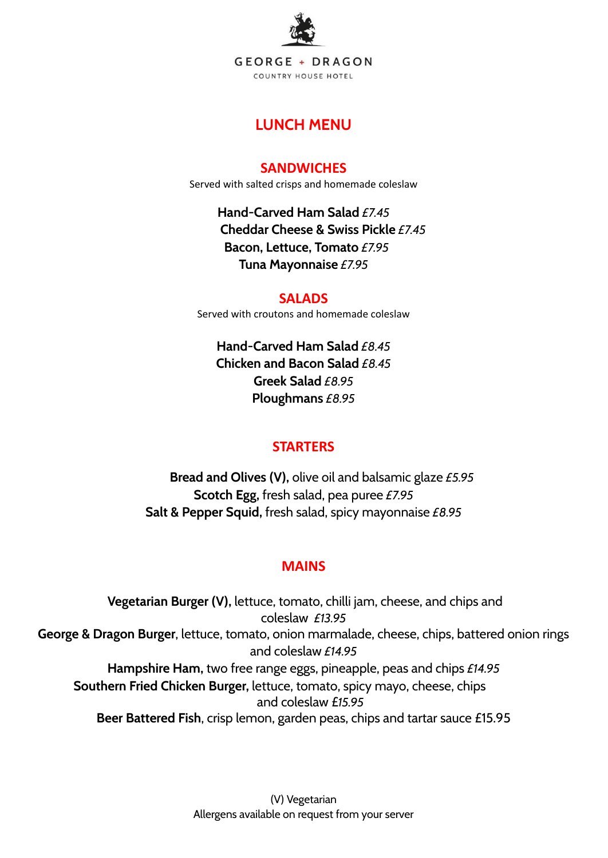

# **LUNCH MENU**

## **SANDWICHES**

Served with salted crisps and homemade coleslaw

**Hand-Carved Ham Salad** *£7.45* **Cheddar Cheese & Swiss Pickle** *£7.45* **Bacon, Lettuce, Tomato** *£7.95* **Tuna Mayonnaise** *£7.95*

## **SALADS**

Served with croutons and homemade coleslaw

**Hand-Carved Ham Salad** *£8.45* **Chicken and Bacon Salad** *£8.45* **Greek Salad** *£8.95* **Ploughmans** *£8.95*

# **STARTERS**

**Bread and Olives (V),** olive oil and balsamic glaze *£5.95* **Scotch Egg,** fresh salad, pea puree *£7.95* **Salt & Pepper Squid,** fresh salad, spicy mayonnaise *£8.95*

# **MAINS**

**Vegetarian Burger (V),** lettuce, tomato, chilli jam, cheese, and chips and coleslaw *£13.95* **George & Dragon Burger**, lettuce, tomato, onion marmalade, cheese, chips, battered onion rings and coleslaw *£14.95* **Hampshire Ham,** two free range eggs, pineapple, peas and chips *£14.95* **Southern Fried Chicken Burger,** lettuce, tomato, spicy mayo, cheese, chips and coleslaw £*15.95* **Beer Battered Fish**, crisp lemon, garden peas, chips and tartar sauce £15.95